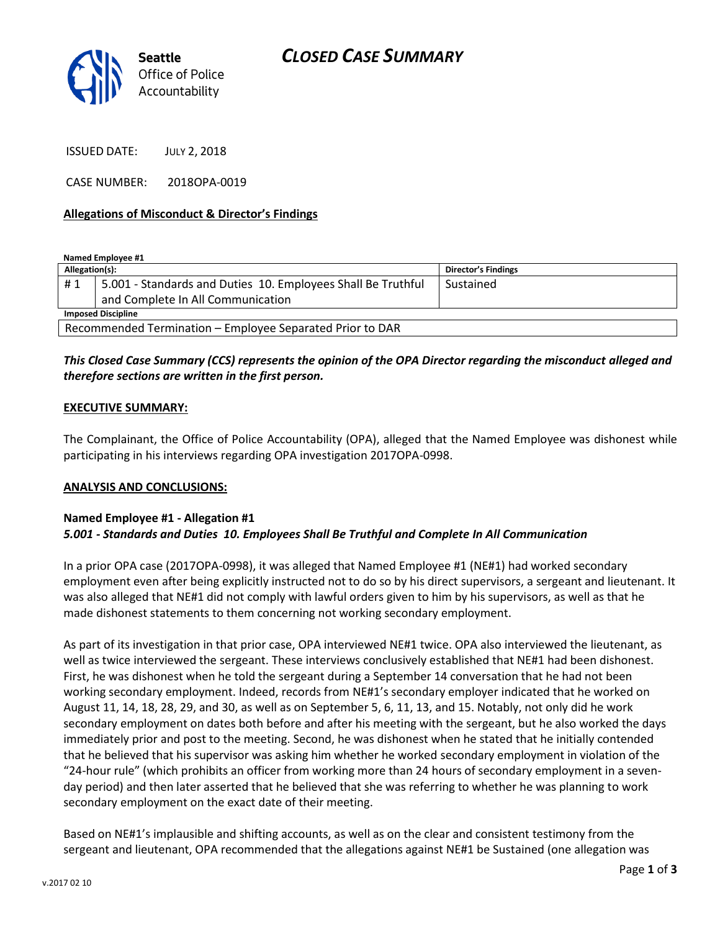

ISSUED DATE: JULY 2, 2018

CASE NUMBER: 2018OPA-0019

#### **Allegations of Misconduct & Director's Findings**

**Named Employee #1**

| Allegation(s):                                            |                                                              | <b>Director's Findings</b> |
|-----------------------------------------------------------|--------------------------------------------------------------|----------------------------|
| #1                                                        | 5.001 - Standards and Duties 10. Employees Shall Be Truthful | Sustained                  |
|                                                           | and Complete In All Communication                            |                            |
| <b>Imposed Discipline</b>                                 |                                                              |                            |
| Recommended Termination - Employee Separated Prior to DAR |                                                              |                            |

### *This Closed Case Summary (CCS) represents the opinion of the OPA Director regarding the misconduct alleged and therefore sections are written in the first person.*

#### **EXECUTIVE SUMMARY:**

The Complainant, the Office of Police Accountability (OPA), alleged that the Named Employee was dishonest while participating in his interviews regarding OPA investigation 2017OPA-0998.

#### **ANALYSIS AND CONCLUSIONS:**

#### **Named Employee #1 - Allegation #1** *5.001 - Standards and Duties 10. Employees Shall Be Truthful and Complete In All Communication*

In a prior OPA case (2017OPA-0998), it was alleged that Named Employee #1 (NE#1) had worked secondary employment even after being explicitly instructed not to do so by his direct supervisors, a sergeant and lieutenant. It was also alleged that NE#1 did not comply with lawful orders given to him by his supervisors, as well as that he made dishonest statements to them concerning not working secondary employment.

As part of its investigation in that prior case, OPA interviewed NE#1 twice. OPA also interviewed the lieutenant, as well as twice interviewed the sergeant. These interviews conclusively established that NE#1 had been dishonest. First, he was dishonest when he told the sergeant during a September 14 conversation that he had not been working secondary employment. Indeed, records from NE#1's secondary employer indicated that he worked on August 11, 14, 18, 28, 29, and 30, as well as on September 5, 6, 11, 13, and 15. Notably, not only did he work secondary employment on dates both before and after his meeting with the sergeant, but he also worked the days immediately prior and post to the meeting. Second, he was dishonest when he stated that he initially contended that he believed that his supervisor was asking him whether he worked secondary employment in violation of the "24-hour rule" (which prohibits an officer from working more than 24 hours of secondary employment in a sevenday period) and then later asserted that he believed that she was referring to whether he was planning to work secondary employment on the exact date of their meeting.

Based on NE#1's implausible and shifting accounts, as well as on the clear and consistent testimony from the sergeant and lieutenant, OPA recommended that the allegations against NE#1 be Sustained (one allegation was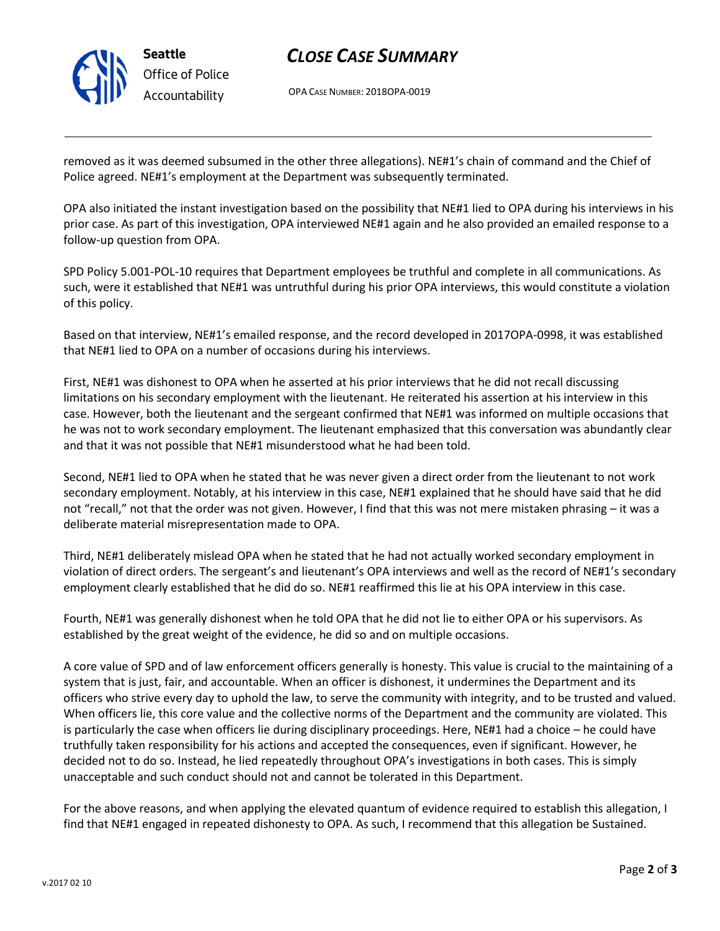

## *CLOSE CASE SUMMARY*

OPA CASE NUMBER: 2018OPA-0019

removed as it was deemed subsumed in the other three allegations). NE#1's chain of command and the Chief of Police agreed. NE#1's employment at the Department was subsequently terminated.

OPA also initiated the instant investigation based on the possibility that NE#1 lied to OPA during his interviews in his prior case. As part of this investigation, OPA interviewed NE#1 again and he also provided an emailed response to a follow-up question from OPA.

SPD Policy 5.001-POL-10 requires that Department employees be truthful and complete in all communications. As such, were it established that NE#1 was untruthful during his prior OPA interviews, this would constitute a violation of this policy.

Based on that interview, NE#1's emailed response, and the record developed in 2017OPA-0998, it was established that NE#1 lied to OPA on a number of occasions during his interviews.

First, NE#1 was dishonest to OPA when he asserted at his prior interviews that he did not recall discussing limitations on his secondary employment with the lieutenant. He reiterated his assertion at his interview in this case. However, both the lieutenant and the sergeant confirmed that NE#1 was informed on multiple occasions that he was not to work secondary employment. The lieutenant emphasized that this conversation was abundantly clear and that it was not possible that NE#1 misunderstood what he had been told.

Second, NE#1 lied to OPA when he stated that he was never given a direct order from the lieutenant to not work secondary employment. Notably, at his interview in this case, NE#1 explained that he should have said that he did not "recall," not that the order was not given. However, I find that this was not mere mistaken phrasing – it was a deliberate material misrepresentation made to OPA.

Third, NE#1 deliberately mislead OPA when he stated that he had not actually worked secondary employment in violation of direct orders. The sergeant's and lieutenant's OPA interviews and well as the record of NE#1's secondary employment clearly established that he did do so. NE#1 reaffirmed this lie at his OPA interview in this case.

Fourth, NE#1 was generally dishonest when he told OPA that he did not lie to either OPA or his supervisors. As established by the great weight of the evidence, he did so and on multiple occasions.

A core value of SPD and of law enforcement officers generally is honesty. This value is crucial to the maintaining of a system that is just, fair, and accountable. When an officer is dishonest, it undermines the Department and its officers who strive every day to uphold the law, to serve the community with integrity, and to be trusted and valued. When officers lie, this core value and the collective norms of the Department and the community are violated. This is particularly the case when officers lie during disciplinary proceedings. Here, NE#1 had a choice – he could have truthfully taken responsibility for his actions and accepted the consequences, even if significant. However, he decided not to do so. Instead, he lied repeatedly throughout OPA's investigations in both cases. This is simply unacceptable and such conduct should not and cannot be tolerated in this Department.

For the above reasons, and when applying the elevated quantum of evidence required to establish this allegation, I find that NE#1 engaged in repeated dishonesty to OPA. As such, I recommend that this allegation be Sustained.